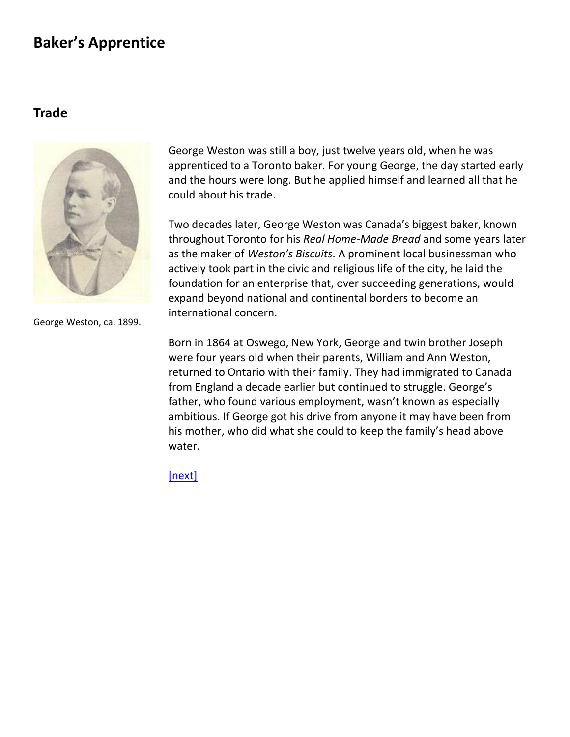#### **Trade**



George Weston was still a boy, just twelve years old, when he was apprenticed to a Toronto baker. For young George, the day started early and the hours were long. But he applied himself and learned all that he could about his trade.

Two decades later, George Weston was Canada's biggest baker, known throughout Toronto for his *Real Home-Made Bread* and some years later as the maker of *Weston's Biscuits*. A prominent local businessman who actively took part in the civic and religious life of the city, he laid the foundation for an enterprise that, over succeeding generations, would expand beyond national and continental borders to become an international concern.

George Weston, ca. 1899.

Born in 1864 at Oswego, New York, George and twin brother Joseph were four years old when their parents, William and Ann Weston, returned to Ontario with their family. They had immigrated to Canada from England a decade earlier but continued to struggle. George's father, who found various employment, wasn't known as especially ambitious. If George got his drive from anyone it may have been from his mother, who did what she could to keep the family's head above water.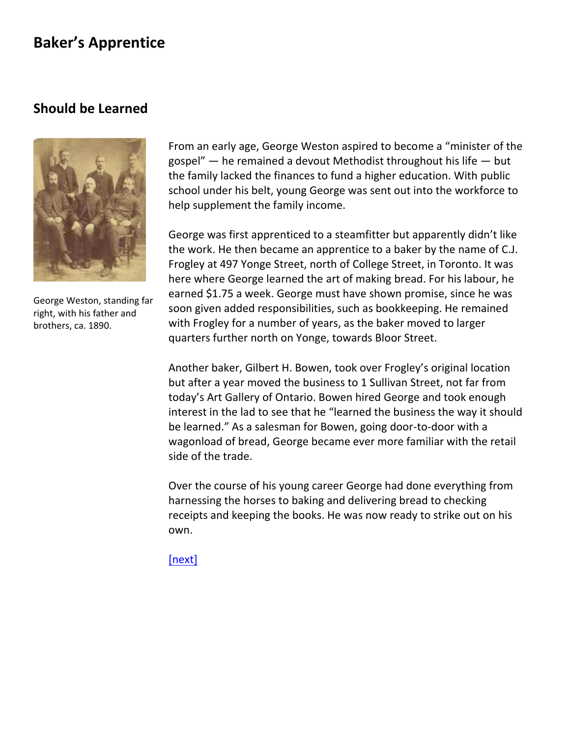#### <span id="page-1-0"></span>**Should be Learned**



George Weston, standing far right, with his father and brothers, ca. 1890.

From an early age, George Weston aspired to become a "minister of the gospel" — he remained a devout Methodist throughout his life — but the family lacked the finances to fund a higher education. With public school under his belt, young George was sent out into the workforce to help supplement the family income.

George was first apprenticed to a steamfitter but apparently didn't like the work. He then became an apprentice to a baker by the name of C.J. Frogley at 497 Yonge Street, north of College Street, in Toronto. It was here where George learned the art of making bread. For his labour, he earned \$1.75 a week. George must have shown promise, since he was soon given added responsibilities, such as bookkeeping. He remained with Frogley for a number of years, as the baker moved to larger quarters further north on Yonge, towards Bloor Street.

Another baker, Gilbert H. Bowen, took over Frogley's original location but after a year moved the business to 1 Sullivan Street, not far from today's Art Gallery of Ontario. Bowen hired George and took enough interest in the lad to see that he "learned the business the way it should be learned." As a salesman for Bowen, going door-to-door with a wagonload of bread, George became ever more familiar with the retail side of the trade.

Over the course of his young career George had done everything from harnessing the horses to baking and delivering bread to checking receipts and keeping the books. He was now ready to strike out on his own.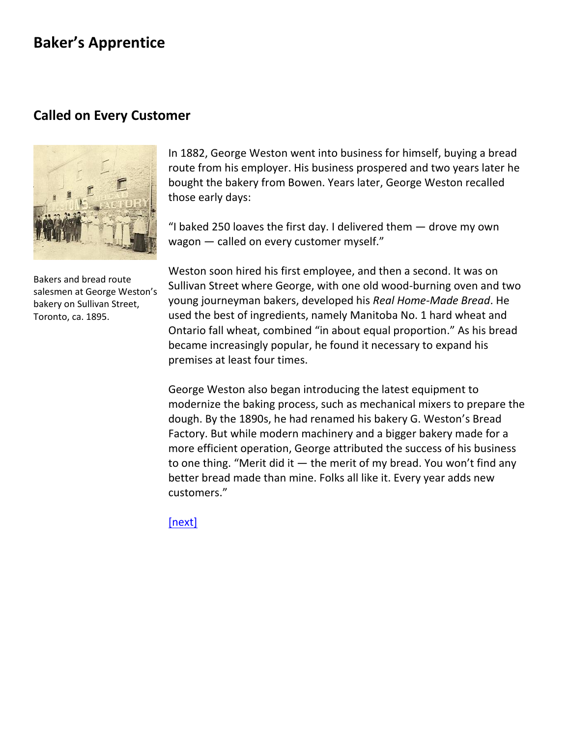#### <span id="page-2-0"></span>**Called on Every Customer**



Bakers and bread route salesmen at George Weston's bakery on Sullivan Street, Toronto, ca. 1895.

In 1882, George Weston went into business for himself, buying a bread route from his employer. His business prospered and two years later he bought the bakery from Bowen. Years later, George Weston recalled those early days:

"I baked 250 loaves the first day. I delivered them  $-$  drove my own wagon — called on every customer myself."

Weston soon hired his [first employee,](file:///C:/-Users-gwlbxc-AppData-Local-Microsoft-Windows-Temporary%20Internet%20Files-Content.Outlook-6P7733RA-GWL%20history-firstemployee.html) and then a second. It was on Sullivan Street where George, with one old wood-burning oven and two young journeyman bakers, developed his *Real Home-Made Bread*. He used the best of ingredients, namely Manitoba No. 1 hard wheat and Ontario fall wheat, combined "in about equal proportion." As his bread became increasingly popular, he found it necessary to expand his premises at least four times.

George Weston also began introducing the latest equipment to modernize the baking process, such as mechanical mixers to prepare the dough. By the 1890s, he had renamed his bakery G. Weston's Bread Factory. But while modern machinery and a bigger bakery made for a more efficient operation, George attributed the success of his business to one thing. "Merit did it  $-$  the merit of my bread. You won't find any better bread made than mine. Folks all like it. Every year adds new customers."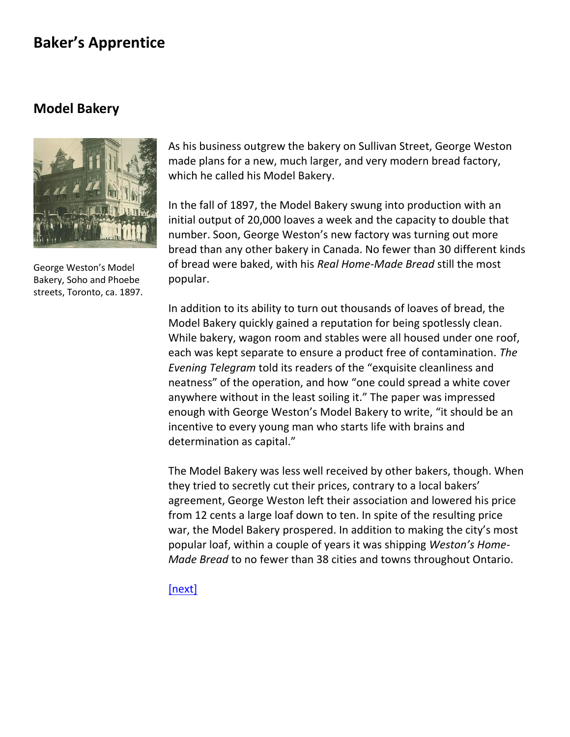#### <span id="page-3-0"></span>**Model Bakery**



George Weston's Model Bakery, Soho and Phoebe streets, Toronto, ca. 1897.

As his business outgrew the bakery on Sullivan Street, George Weston made plans for a new, much larger, and very modern bread factory, which he called his Model Bakery.

In the fall of 1897, the Model Bakery swung into production with an initial output of 20,000 loaves a week and the capacity to double that number. Soon, George Weston's new factory was turning out more bread than any other bakery in Canada. No fewer than 30 different kinds of bread were baked, with his *Real Home-Made Bread* still the most popular.

In addition to its ability to turn out thousands of loaves of bread, the Model Bakery quickly gained a reputation for being spotlessly clean. While bakery, wagon room and stables were all housed under one roof, each was kept separate to ensure a product free of contamination. *The Evening Telegram* told its readers of the "exquisite cleanliness and neatness" of the operation, and how "one could spread a white cover anywhere without in the least soiling it." The paper was impressed enough with George Weston's Model Bakery to write, "it should be an incentive to every young man who starts life with brains and determination as capital."

The Model Bakery was less well received by other bakers, though. When they tried to secretly cut their prices, contrary to a local bakers' agreement, George Weston left their association and lowered his price from 12 cents a large loaf down to ten. In spite of the resulting price war, the Model Bakery prospered. In addition to making the city's most popular loaf, within a couple of years it was shipping *Weston's Home-Made Bread* to no fewer than 38 cities and towns throughout Ontario.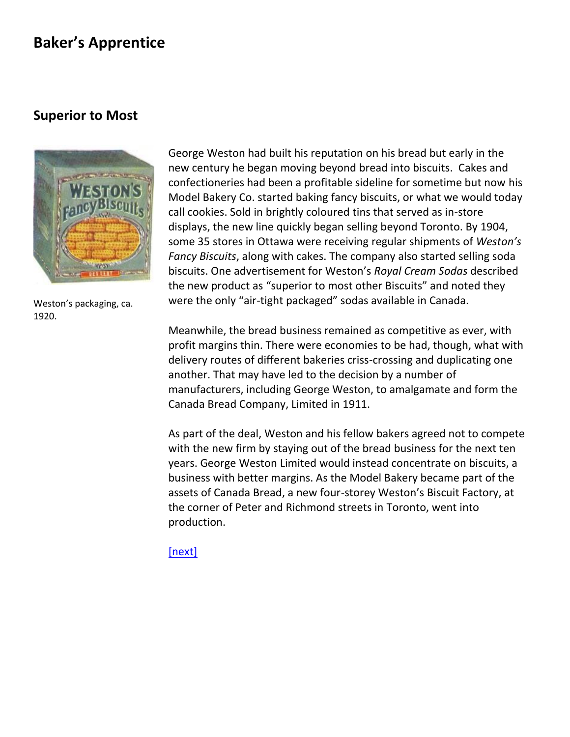#### <span id="page-4-0"></span>**Superior to Most**



Weston's packaging, ca. 1920.

George Weston had built his reputation on his bread but early in the new century he began moving beyond bread into biscuits. Cakes and confectioneries had been a profitable sideline for sometime but now his Model Bakery Co. started baking fancy biscuits, or what we would today call cookies. Sold in brightly coloured [tins](file:///C:/-Users-gwlbxc-AppData-Local-Microsoft-Windows-Temporary%20Internet%20Files-Content.Outlook-6P7733RA-GWL%20history-georgeweston5a.html) that served as in-store displays, the new line quickly began selling beyond Toronto. By 1904, some 35 stores in Ottawa were receiving regular shipments of *Weston's Fancy Biscuits*, along with cakes. The company also started selling soda biscuits. One advertisement for Weston's *Royal Cream Sodas* described the new product as "superior to most other Biscuits" and noted they were the only "air-tight packaged" sodas available in Canada.

Meanwhile, the bread business remained as competitive as ever, with profit margins thin. There were economies to be had, though, what with delivery routes of different bakeries criss-crossing and duplicating one another. That may have led to the decision by a number of manufacturers, including George Weston, to amalgamate and form the Canada Bread Company, Limited in 1911.

As part of the deal, Weston and his fellow bakers agreed not to compete with the new firm by staying out of the bread business for the next ten years. George Weston Limited would instead concentrate on biscuits, a business with better margins. As the Model Bakery became part of the assets of Canada Bread, a new four-storey Weston's Biscuit Factory, at the corner of Peter and Richmond streets in Toronto, went into production.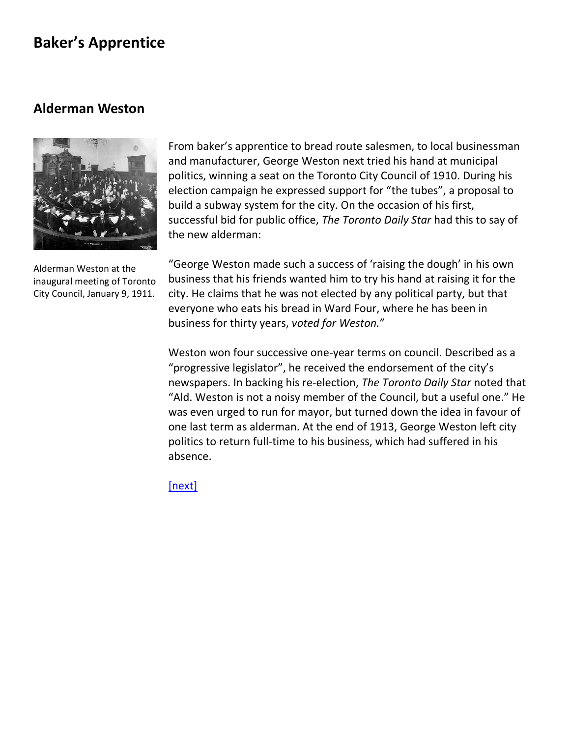#### <span id="page-5-0"></span>**Alderman Weston**



Alderman Weston at the inaugural meeting of Toronto City Council, January 9, 1911.

From baker's apprentice to bread route salesmen, to local businessman and manufacturer, George Weston next tried his hand at municipal politics, winning a seat on the Toronto City Council of 1910. During his election campaign he expressed support for "the tubes", a proposal to build a subway system for the city. On the occasion of his first, successful bid for public office, *The Toronto Daily Star* had this to say of the new alderman:

"George Weston made such a success of 'raising the dough' in his own business that his friends wanted him to try his hand at raising it for the city. He claims that he was not elected by any political party, but that everyone who eats his bread in Ward Four, where he has been in business for thirty years, *voted for Weston.*"

Weston won four successive one-year terms on council. Described as a "progressive legislator", he received the endorsement of the city's newspapers. In backing his re-election, *The Toronto Daily Star* noted that "Ald. Weston is not a noisy member of the Council, but a useful one." He was even urged to run for mayor, but turned down the idea in favour of one last term as alderman. At the end of 1913, George Weston left city politics to return full-time to his business, which had suffered in his absence.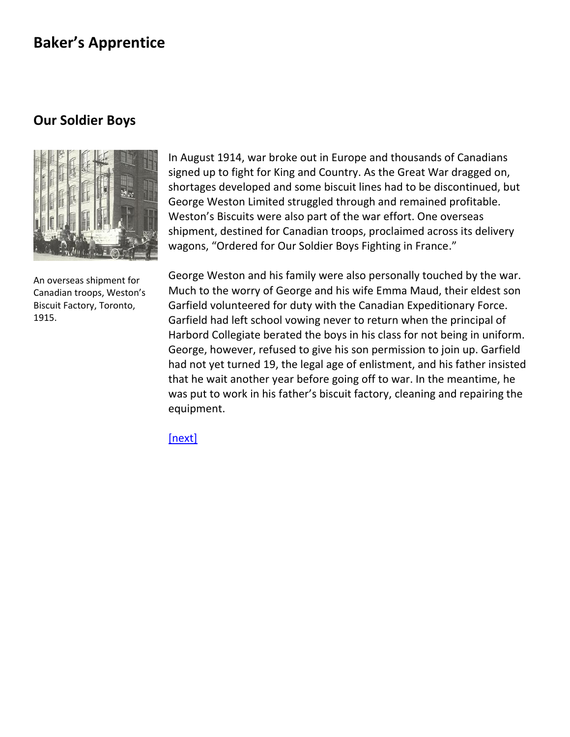### <span id="page-6-0"></span>**Our Soldier Boys**



An overseas shipment for Canadian troops, Weston's Biscuit Factory, Toronto, 1915.

In August 1914, war broke out in Europe and thousands of Canadians signed up to fight for King and Country. As the Great War dragged on, shortages developed and some biscuit lines had to be discontinued, but George Weston Limited struggled through and remained profitable. Weston's Biscuits were also part of the war effort. One overseas shipment, destined for Canadian troops, proclaimed across its delivery wagons, "Ordered for Our Soldier Boys Fighting in France."

George Weston and his family were also personally touched by the war. Much to the worry of George and his wife Emma Maud, their eldest son Garfield volunteered for duty with the Canadian Expeditionary Force. Garfield had left school vowing never to return when the principal of Harbord Collegiate berated the boys in his class for not being in uniform. George, however, refused to give his son permission to join up. Garfield had not yet turned 19, the legal age of enlistment, and his father insisted that he wait another year before going off to war. In the meantime, he was put to work in his father's biscuit factory, cleaning and repairing the equipment.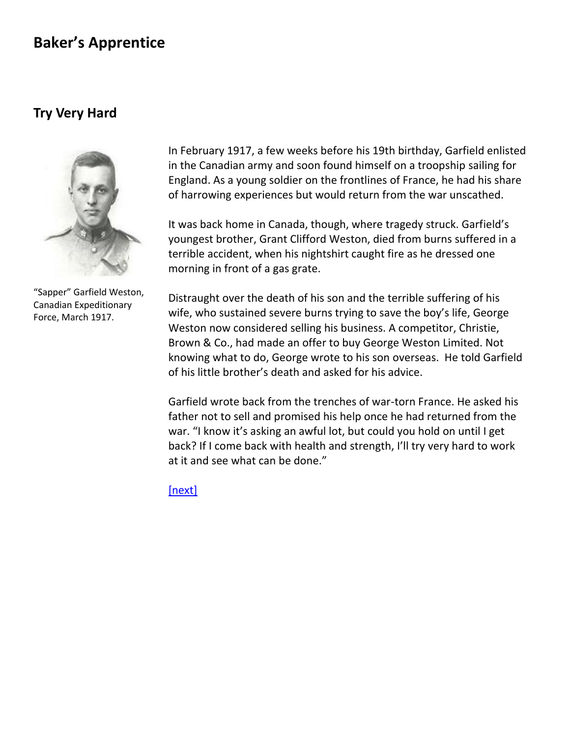#### <span id="page-7-0"></span>**Try Very Hard**



"Sapper" Garfield Weston, Canadian Expeditionary Force, March 1917.

In February 1917, a few weeks before his 19th birthday, Garfield enlisted in the Canadian army and soon found himself on a troopship [sailing for](file:///C:/-Users-gwlbxc-AppData-Local-Microsoft-Windows-Temporary%20Internet%20Files-Content.Outlook-6P7733RA-GWL%20history-troopship.html)  [England.](file:///C:/-Users-gwlbxc-AppData-Local-Microsoft-Windows-Temporary%20Internet%20Files-Content.Outlook-6P7733RA-GWL%20history-troopship.html) As a young soldier on the frontlines of France, he had his share of harrowing experiences but would return from the war unscathed.

It was back home in Canada, though, where tragedy struck. Garfield's youngest brother, Grant Clifford Weston, died from burns suffered in a terrible accident, when his nightshirt caught fire as he dressed one morning in front of a gas grate.

Distraught over the death of his son and the terrible suffering of his wife, who sustained severe burns trying to save the boy's life, George Weston now considered selling his business. A competitor, Christie, Brown & Co., had made an offer to buy George Weston Limited. Not knowing what to do, George wrote to his son overseas. He told Garfield of his little brother's death and asked for his advice.

Garfield wrote back from the trenches of war-torn France. He asked his father not to sell and promised his help once he had returned from the war. "I know it's asking an awful lot, but could you hold on until I get back? If I come back with health and strength, I'll try very hard to work at it and see what can be done."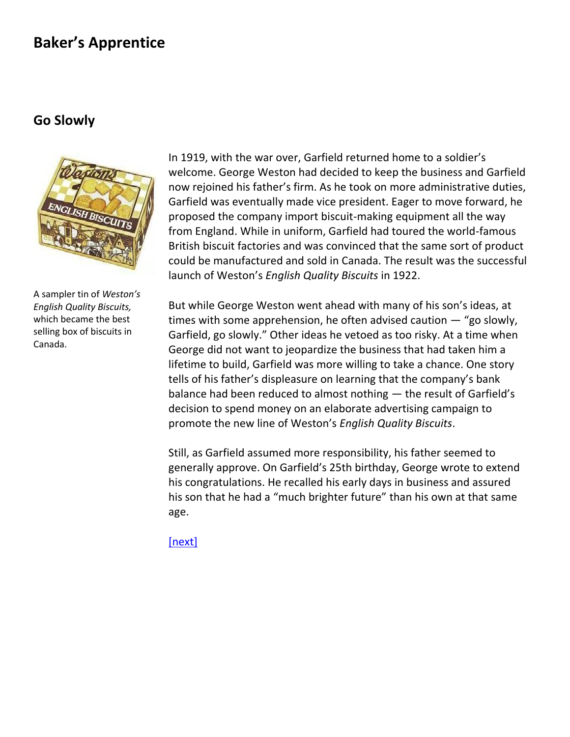#### <span id="page-8-0"></span>**Go Slowly**



A sampler tin of *Weston's English Quality Biscuits,* which became the best selling box of biscuits in Canada.

In 1919, with the war over, Garfield returned home to a soldier's welcome. George Weston had decided to keep the business and Garfield now rejoined his father's firm. As he took on more administrative duties, Garfield was eventually made vice president. Eager to move forward, he proposed the company import biscuit-making equipment [all the way](file:///C:/-Users-gwlbxc-AppData-Local-Microsoft-Windows-Temporary%20Internet%20Files-Content.Outlook-6P7733RA-GWL%20history-fromengland.html)  [from England.](file:///C:/-Users-gwlbxc-AppData-Local-Microsoft-Windows-Temporary%20Internet%20Files-Content.Outlook-6P7733RA-GWL%20history-fromengland.html) While in uniform, Garfield had toured the world-famous British biscuit factories and was convinced that the same sort of product could be manufactured and sold in Canada. The result was the successful launch of Weston's *[English Quality Biscuits](file:///C:/-Users-gwlbxc-AppData-Local-Microsoft-Windows-Temporary%20Internet%20Files-Content.Outlook-6P7733RA-GWL%20history-georgeweston9a.html)* in 1922.

But while George Weston went ahead with many of his son's ideas, at times with some apprehension, he often advised caution — "go slowly, Garfield, go slowly." Other ideas he vetoed as too risky. At a time when George did not want to jeopardize the business that had taken him a lifetime to build, Garfield was more willing to take a chance. One story tells of his father's displeasure on learning that the company's bank balance had been reduced to almost nothing — the result of Garfield's decision to spend money on an elaborate advertising campaign to promote the new line of Weston's *English Quality Biscuits*.

Still, as Garfield assumed more responsibility, his father seemed to generally approve. On Garfield's 25th birthday, George wrote to extend his congratulations. He recalled his early days in business and assured his son that he had a ["much brighter future"](file:///C:/-Users-gwlbxc-AppData-Local-Microsoft-Windows-Temporary%20Internet%20Files-Content.Outlook-6P7733RA-GWL%20history-georgewestonletter1.html) than his own at that same age.